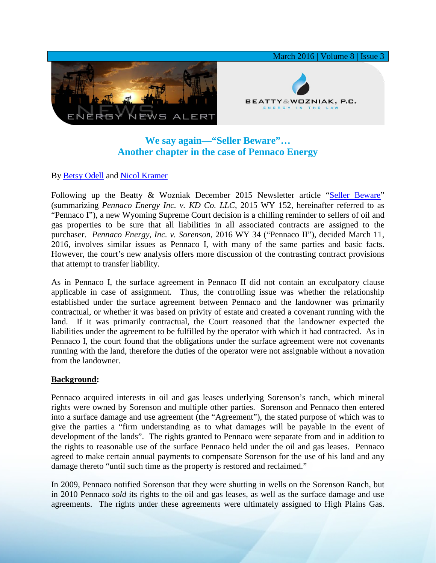

# **We say again—"Seller Beware"… Another chapter in the case of Pennaco Energy**

## By [Betsy Odell](http://www.bwenergylaw.com/#!elizabeth-odell/c1iu8) and [Nicol Kramer](http://www.bwenergylaw.com/#!nicol-kramer/c1z25)

Following up the Beatty & Wozniak December 2015 Newsletter article ["Seller Beware"](http://media.wix.com/ugd/2f2374_fddf939495b6452197e5333d7d97006c.pdf) (summarizing *Pennaco Energy Inc. v. KD Co. LLC*, 2015 WY 152, hereinafter referred to as "Pennaco I"), a new Wyoming Supreme Court decision is a chilling reminder to sellers of oil and gas properties to be sure that all liabilities in all associated contracts are assigned to the purchaser. *Pennaco Energy, Inc. v. Sorenson*, 2016 WY 34 ("Pennaco II"), decided March 11, 2016, involves similar issues as Pennaco I, with many of the same parties and basic facts. However, the court's new analysis offers more discussion of the contrasting contract provisions that attempt to transfer liability.

As in Pennaco I, the surface agreement in Pennaco II did not contain an exculpatory clause applicable in case of assignment. Thus, the controlling issue was whether the relationship established under the surface agreement between Pennaco and the landowner was primarily contractual, or whether it was based on privity of estate and created a covenant running with the land. If it was primarily contractual, the Court reasoned that the landowner expected the liabilities under the agreement to be fulfilled by the operator with which it had contracted. As in Pennaco I, the court found that the obligations under the surface agreement were not covenants running with the land, therefore the duties of the operator were not assignable without a novation from the landowner.

#### **Background:**

Pennaco acquired interests in oil and gas leases underlying Sorenson's ranch, which mineral rights were owned by Sorenson and multiple other parties. Sorenson and Pennaco then entered into a surface damage and use agreement (the "Agreement"), the stated purpose of which was to give the parties a "firm understanding as to what damages will be payable in the event of development of the lands". The rights granted to Pennaco were separate from and in addition to the rights to reasonable use of the surface Pennaco held under the oil and gas leases. Pennaco agreed to make certain annual payments to compensate Sorenson for the use of his land and any damage thereto "until such time as the property is restored and reclaimed."

In 2009, Pennaco notified Sorenson that they were shutting in wells on the Sorenson Ranch, but in 2010 Pennaco *sold* its rights to the oil and gas leases, as well as the surface damage and use agreements. The rights under these agreements were ultimately assigned to High Plains Gas.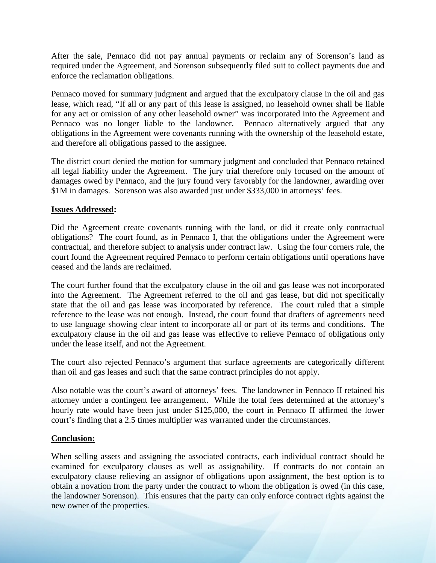After the sale, Pennaco did not pay annual payments or reclaim any of Sorenson's land as required under the Agreement, and Sorenson subsequently filed suit to collect payments due and enforce the reclamation obligations.

Pennaco moved for summary judgment and argued that the exculpatory clause in the oil and gas lease, which read, "If all or any part of this lease is assigned, no leasehold owner shall be liable for any act or omission of any other leasehold owner" was incorporated into the Agreement and Pennaco was no longer liable to the landowner. Pennaco alternatively argued that any obligations in the Agreement were covenants running with the ownership of the leasehold estate, and therefore all obligations passed to the assignee.

The district court denied the motion for summary judgment and concluded that Pennaco retained all legal liability under the Agreement. The jury trial therefore only focused on the amount of damages owed by Pennaco, and the jury found very favorably for the landowner, awarding over \$1M in damages. Sorenson was also awarded just under \$333,000 in attorneys' fees.

### **Issues Addressed:**

Did the Agreement create covenants running with the land, or did it create only contractual obligations? The court found, as in Pennaco I, that the obligations under the Agreement were contractual, and therefore subject to analysis under contract law. Using the four corners rule, the court found the Agreement required Pennaco to perform certain obligations until operations have ceased and the lands are reclaimed.

The court further found that the exculpatory clause in the oil and gas lease was not incorporated into the Agreement. The Agreement referred to the oil and gas lease, but did not specifically state that the oil and gas lease was incorporated by reference. The court ruled that a simple reference to the lease was not enough. Instead, the court found that drafters of agreements need to use language showing clear intent to incorporate all or part of its terms and conditions. The exculpatory clause in the oil and gas lease was effective to relieve Pennaco of obligations only under the lease itself, and not the Agreement.

The court also rejected Pennaco's argument that surface agreements are categorically different than oil and gas leases and such that the same contract principles do not apply.

Also notable was the court's award of attorneys' fees. The landowner in Pennaco II retained his attorney under a contingent fee arrangement. While the total fees determined at the attorney's hourly rate would have been just under \$125,000, the court in Pennaco II affirmed the lower court's finding that a 2.5 times multiplier was warranted under the circumstances.

#### **Conclusion:**

When selling assets and assigning the associated contracts, each individual contract should be examined for exculpatory clauses as well as assignability. If contracts do not contain an exculpatory clause relieving an assignor of obligations upon assignment, the best option is to obtain a novation from the party under the contract to whom the obligation is owed (in this case, the landowner Sorenson). This ensures that the party can only enforce contract rights against the new owner of the properties.